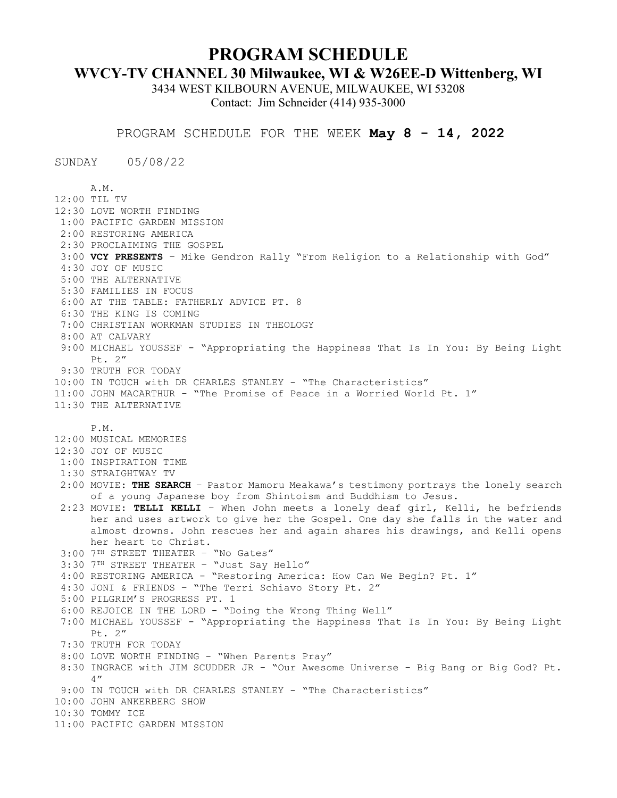## **PROGRAM SCHEDULE**

## **WVCY-TV CHANNEL 30 Milwaukee, WI & W26EE-D Wittenberg, WI**

3434 WEST KILBOURN AVENUE, MILWAUKEE, WI 53208 Contact: Jim Schneider (414) 935-3000

PROGRAM SCHEDULE FOR THE WEEK **May 8 - 14, 2022**

SUNDAY 05/08/22

A.M. 12:00 TIL TV 12:30 LOVE WORTH FINDING 1:00 PACIFIC GARDEN MISSION 2:00 RESTORING AMERICA 2:30 PROCLAIMING THE GOSPEL 3:00 **VCY PRESENTS** – Mike Gendron Rally "From Religion to a Relationship with God" 4:30 JOY OF MUSIC 5:00 THE ALTERNATIVE 5:30 FAMILIES IN FOCUS 6:00 AT THE TABLE: FATHERLY ADVICE PT. 8 6:30 THE KING IS COMING 7:00 CHRISTIAN WORKMAN STUDIES IN THEOLOGY 8:00 AT CALVARY 9:00 MICHAEL YOUSSEF - "Appropriating the Happiness That Is In You: By Being Light Pt. 2" 9:30 TRUTH FOR TODAY 10:00 IN TOUCH with DR CHARLES STANLEY - "The Characteristics" 11:00 JOHN MACARTHUR - "The Promise of Peace in a Worried World Pt. 1" 11:30 THE ALTERNATIVE P.M. 12:00 MUSICAL MEMORIES 12:30 JOY OF MUSIC 1:00 INSPIRATION TIME 1:30 STRAIGHTWAY TV 2:00 MOVIE: **THE SEARCH** – Pastor Mamoru Meakawa's testimony portrays the lonely search of a young Japanese boy from Shintoism and Buddhism to Jesus. 2:23 MOVIE: **TELLI KELLI** – When John meets a lonely deaf girl, Kelli, he befriends her and uses artwork to give her the Gospel. One day she falls in the water and almost drowns. John rescues her and again shares his drawings, and Kelli opens her heart to Christ. 3:00 7TH STREET THEATER – "No Gates" 3:30 7TH STREET THEATER – "Just Say Hello" 4:00 RESTORING AMERICA - "Restoring America: How Can We Begin? Pt. 1" 4:30 JONI & FRIENDS – "The Terri Schiavo Story Pt. 2" 5:00 PILGRIM'S PROGRESS PT. 1 6:00 REJOICE IN THE LORD - "Doing the Wrong Thing Well" 7:00 MICHAEL YOUSSEF - "Appropriating the Happiness That Is In You: By Being Light Pt. 2" 7:30 TRUTH FOR TODAY 8:00 LOVE WORTH FINDING - "When Parents Pray" 8:30 INGRACE with JIM SCUDDER JR - "Our Awesome Universe - Big Bang or Big God? Pt. 4" 9:00 IN TOUCH with DR CHARLES STANLEY - "The Characteristics" 10:00 JOHN ANKERBERG SHOW 10:30 TOMMY ICE 11:00 PACIFIC GARDEN MISSION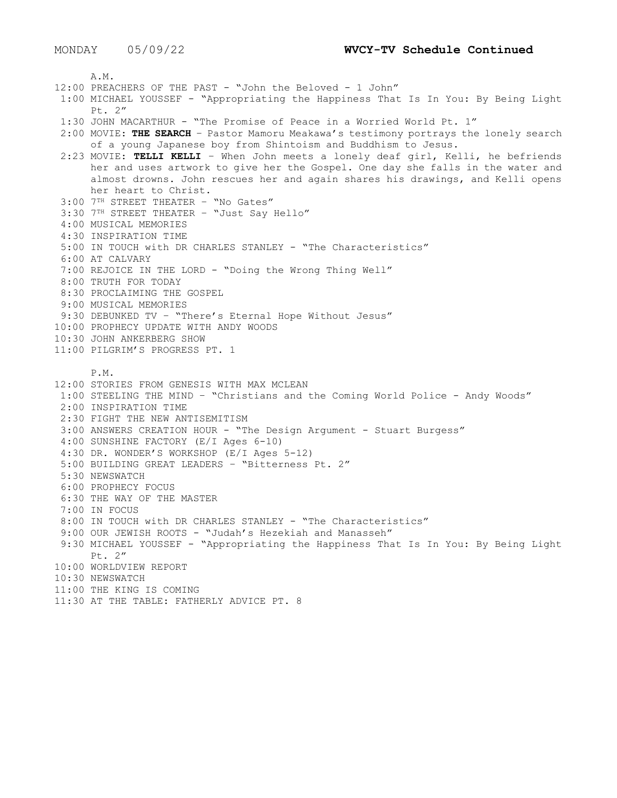A.M. 12:00 PREACHERS OF THE PAST - "John the Beloved - 1 John" 1:00 MICHAEL YOUSSEF - "Appropriating the Happiness That Is In You: By Being Light Pt. 2" 1:30 JOHN MACARTHUR - "The Promise of Peace in a Worried World Pt. 1" 2:00 MOVIE: **THE SEARCH** – Pastor Mamoru Meakawa's testimony portrays the lonely search of a young Japanese boy from Shintoism and Buddhism to Jesus. 2:23 MOVIE: **TELLI KELLI** – When John meets a lonely deaf girl, Kelli, he befriends her and uses artwork to give her the Gospel. One day she falls in the water and almost drowns. John rescues her and again shares his drawings, and Kelli opens her heart to Christ. 3:00 7TH STREET THEATER – "No Gates" 3:30 7TH STREET THEATER – "Just Say Hello" 4:00 MUSICAL MEMORIES 4:30 INSPIRATION TIME 5:00 IN TOUCH with DR CHARLES STANLEY - "The Characteristics" 6:00 AT CALVARY 7:00 REJOICE IN THE LORD - "Doing the Wrong Thing Well" 8:00 TRUTH FOR TODAY 8:30 PROCLAIMING THE GOSPEL 9:00 MUSICAL MEMORIES 9:30 DEBUNKED TV – "There's Eternal Hope Without Jesus" 10:00 PROPHECY UPDATE WITH ANDY WOODS 10:30 JOHN ANKERBERG SHOW 11:00 PILGRIM'S PROGRESS PT. 1 P.M. 12:00 STORIES FROM GENESIS WITH MAX MCLEAN 1:00 STEELING THE MIND – "Christians and the Coming World Police - Andy Woods" 2:00 INSPIRATION TIME 2:30 FIGHT THE NEW ANTISEMITISM 3:00 ANSWERS CREATION HOUR - "The Design Argument - Stuart Burgess" 4:00 SUNSHINE FACTORY (E/I Ages 6-10) 4:30 DR. WONDER'S WORKSHOP (E/I Ages 5-12) 5:00 BUILDING GREAT LEADERS – "Bitterness Pt. 2" 5:30 NEWSWATCH 6:00 PROPHECY FOCUS 6:30 THE WAY OF THE MASTER 7:00 IN FOCUS 8:00 IN TOUCH with DR CHARLES STANLEY - "The Characteristics" 9:00 OUR JEWISH ROOTS - "Judah's Hezekiah and Manasseh" 9:30 MICHAEL YOUSSEF - "Appropriating the Happiness That Is In You: By Being Light Pt. 2" 10:00 WORLDVIEW REPORT 10:30 NEWSWATCH 11:00 THE KING IS COMING 11:30 AT THE TABLE: FATHERLY ADVICE PT. 8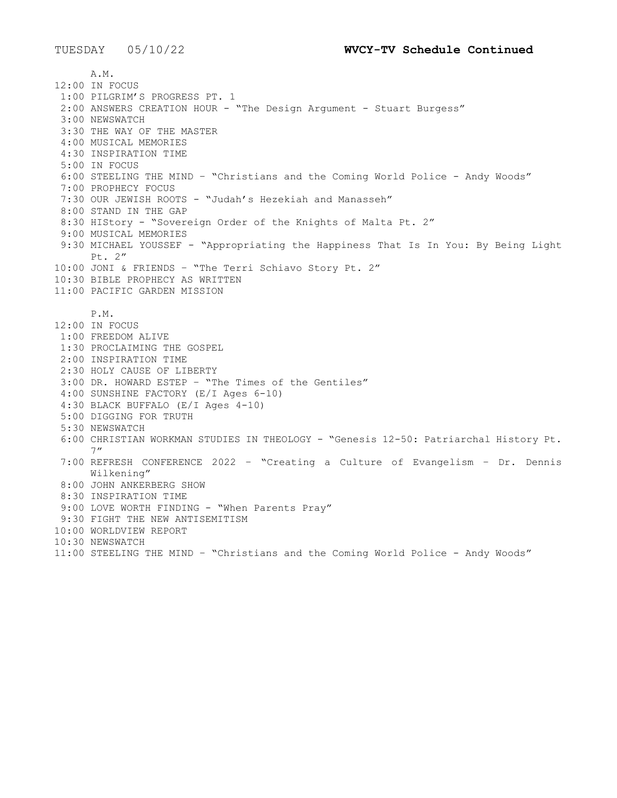A.M. 12:00 IN FOCUS 1:00 PILGRIM'S PROGRESS PT. 1 2:00 ANSWERS CREATION HOUR - "The Design Argument - Stuart Burgess" 3:00 NEWSWATCH 3:30 THE WAY OF THE MASTER 4:00 MUSICAL MEMORIES 4:30 INSPIRATION TIME 5:00 IN FOCUS 6:00 STEELING THE MIND – "Christians and the Coming World Police - Andy Woods" 7:00 PROPHECY FOCUS 7:30 OUR JEWISH ROOTS - "Judah's Hezekiah and Manasseh" 8:00 STAND IN THE GAP 8:30 HIStory - "Sovereign Order of the Knights of Malta Pt. 2" 9:00 MUSICAL MEMORIES 9:30 MICHAEL YOUSSEF - "Appropriating the Happiness That Is In You: By Being Light Pt. 2" 10:00 JONI & FRIENDS – "The Terri Schiavo Story Pt. 2" 10:30 BIBLE PROPHECY AS WRITTEN 11:00 PACIFIC GARDEN MISSION P.M. 12:00 IN FOCUS 1:00 FREEDOM ALIVE 1:30 PROCLAIMING THE GOSPEL 2:00 INSPIRATION TIME 2:30 HOLY CAUSE OF LIBERTY 3:00 DR. HOWARD ESTEP – "The Times of the Gentiles" 4:00 SUNSHINE FACTORY (E/I Ages 6-10) 4:30 BLACK BUFFALO (E/I Ages 4-10) 5:00 DIGGING FOR TRUTH 5:30 NEWSWATCH 6:00 CHRISTIAN WORKMAN STUDIES IN THEOLOGY - "Genesis 12-50: Patriarchal History Pt. 7" 7:00 REFRESH CONFERENCE 2022 – "Creating a Culture of Evangelism – Dr. Dennis Wilkening" 8:00 JOHN ANKERBERG SHOW 8:30 INSPIRATION TIME 9:00 LOVE WORTH FINDING - "When Parents Pray" 9:30 FIGHT THE NEW ANTISEMITISM 10:00 WORLDVIEW REPORT 10:30 NEWSWATCH 11:00 STEELING THE MIND – "Christians and the Coming World Police - Andy Woods"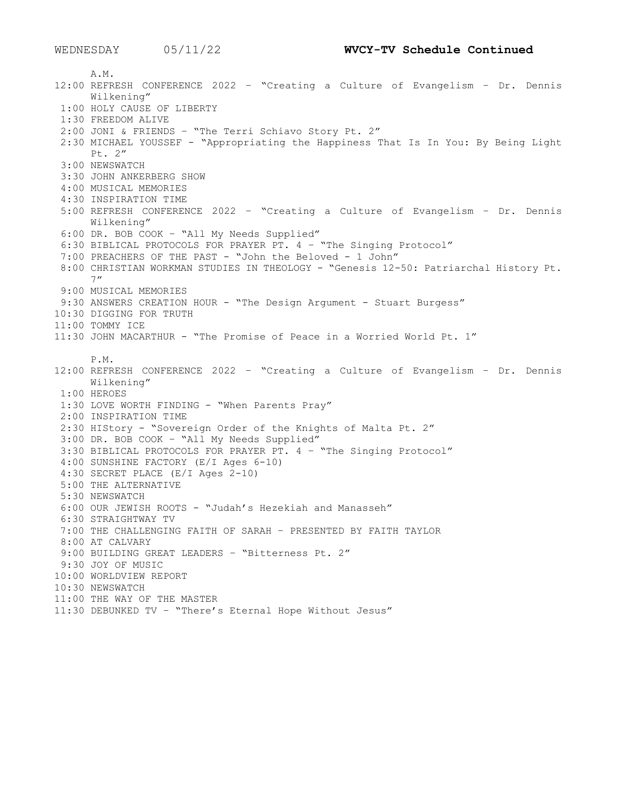A.M. 12:00 REFRESH CONFERENCE 2022 – "Creating a Culture of Evangelism – Dr. Dennis Wilkening" 1:00 HOLY CAUSE OF LIBERTY 1:30 FREEDOM ALIVE 2:00 JONI & FRIENDS – "The Terri Schiavo Story Pt. 2" 2:30 MICHAEL YOUSSEF - "Appropriating the Happiness That Is In You: By Being Light Pt. 2" 3:00 NEWSWATCH 3:30 JOHN ANKERBERG SHOW 4:00 MUSICAL MEMORIES 4:30 INSPIRATION TIME 5:00 REFRESH CONFERENCE 2022 – "Creating a Culture of Evangelism – Dr. Dennis Wilkening" 6:00 DR. BOB COOK – "All My Needs Supplied" 6:30 BIBLICAL PROTOCOLS FOR PRAYER PT. 4 – "The Singing Protocol" 7:00 PREACHERS OF THE PAST - "John the Beloved - 1 John" 8:00 CHRISTIAN WORKMAN STUDIES IN THEOLOGY - "Genesis 12-50: Patriarchal History Pt. 7" 9:00 MUSICAL MEMORIES 9:30 ANSWERS CREATION HOUR - "The Design Argument - Stuart Burgess" 10:30 DIGGING FOR TRUTH 11:00 TOMMY ICE 11:30 JOHN MACARTHUR - "The Promise of Peace in a Worried World Pt. 1" P.M. 12:00 REFRESH CONFERENCE 2022 – "Creating a Culture of Evangelism – Dr. Dennis Wilkening" 1:00 HEROES 1:30 LOVE WORTH FINDING - "When Parents Pray" 2:00 INSPIRATION TIME 2:30 HIStory - "Sovereign Order of the Knights of Malta Pt. 2" 3:00 DR. BOB COOK – "All My Needs Supplied" 3:30 BIBLICAL PROTOCOLS FOR PRAYER PT. 4 – "The Singing Protocol" 4:00 SUNSHINE FACTORY (E/I Ages 6-10) 4:30 SECRET PLACE (E/I Ages 2-10) 5:00 THE ALTERNATIVE 5:30 NEWSWATCH 6:00 OUR JEWISH ROOTS - "Judah's Hezekiah and Manasseh" 6:30 STRAIGHTWAY TV 7:00 THE CHALLENGING FAITH OF SARAH – PRESENTED BY FAITH TAYLOR 8:00 AT CALVARY 9:00 BUILDING GREAT LEADERS – "Bitterness Pt. 2" 9:30 JOY OF MUSIC 10:00 WORLDVIEW REPORT 10:30 NEWSWATCH 11:00 THE WAY OF THE MASTER 11:30 DEBUNKED TV – "There's Eternal Hope Without Jesus"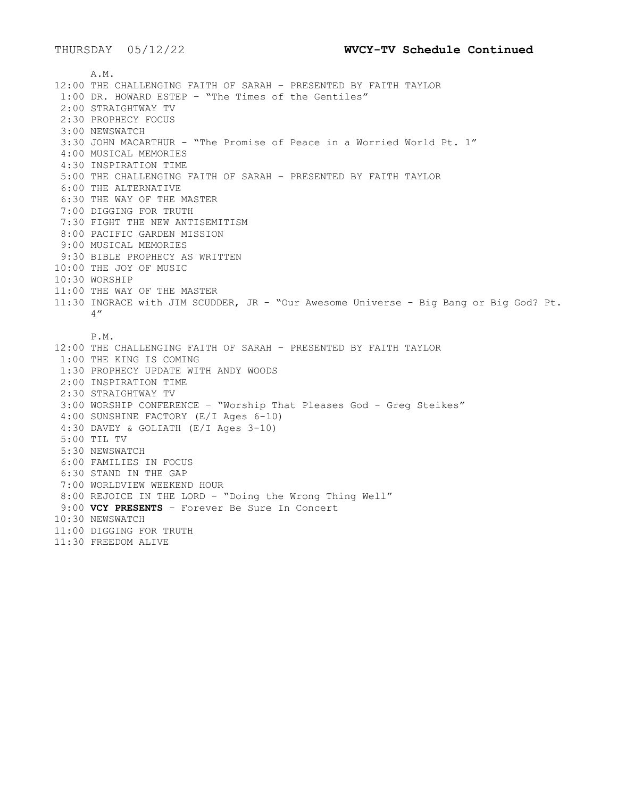A.M. 12:00 THE CHALLENGING FAITH OF SARAH – PRESENTED BY FAITH TAYLOR 1:00 DR. HOWARD ESTEP – "The Times of the Gentiles" 2:00 STRAIGHTWAY TV 2:30 PROPHECY FOCUS 3:00 NEWSWATCH 3:30 JOHN MACARTHUR - "The Promise of Peace in a Worried World Pt. 1" 4:00 MUSICAL MEMORIES 4:30 INSPIRATION TIME 5:00 THE CHALLENGING FAITH OF SARAH – PRESENTED BY FAITH TAYLOR 6:00 THE ALTERNATIVE 6:30 THE WAY OF THE MASTER 7:00 DIGGING FOR TRUTH 7:30 FIGHT THE NEW ANTISEMITISM 8:00 PACIFIC GARDEN MISSION 9:00 MUSICAL MEMORIES 9:30 BIBLE PROPHECY AS WRITTEN 10:00 THE JOY OF MUSIC 10:30 WORSHIP 11:00 THE WAY OF THE MASTER 11:30 INGRACE with JIM SCUDDER, JR - "Our Awesome Universe - Big Bang or Big God? Pt. 4" P.M. 12:00 THE CHALLENGING FAITH OF SARAH – PRESENTED BY FAITH TAYLOR 1:00 THE KING IS COMING 1:30 PROPHECY UPDATE WITH ANDY WOODS 2:00 INSPIRATION TIME 2:30 STRAIGHTWAY TV 3:00 WORSHIP CONFERENCE – "Worship That Pleases God - Greg Steikes" 4:00 SUNSHINE FACTORY (E/I Ages 6-10) 4:30 DAVEY & GOLIATH (E/I Ages 3-10) 5:00 TIL TV 5:30 NEWSWATCH 6:00 FAMILIES IN FOCUS 6:30 STAND IN THE GAP 7:00 WORLDVIEW WEEKEND HOUR 8:00 REJOICE IN THE LORD - "Doing the Wrong Thing Well" 9:00 **VCY PRESENTS** – Forever Be Sure In Concert 10:30 NEWSWATCH 11:00 DIGGING FOR TRUTH 11:30 FREEDOM ALIVE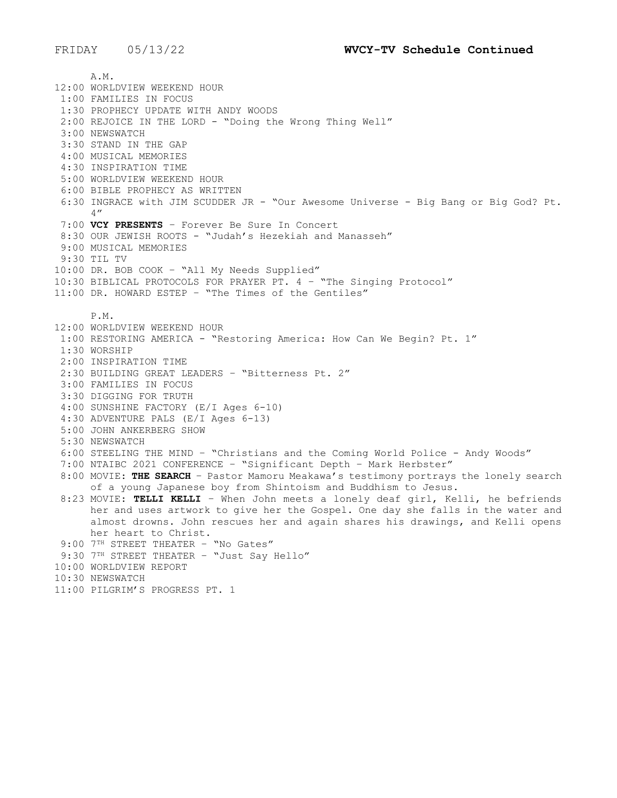A.M. 12:00 WORLDVIEW WEEKEND HOUR 1:00 FAMILIES IN FOCUS 1:30 PROPHECY UPDATE WITH ANDY WOODS 2:00 REJOICE IN THE LORD - "Doing the Wrong Thing Well" 3:00 NEWSWATCH 3:30 STAND IN THE GAP 4:00 MUSICAL MEMORIES 4:30 INSPIRATION TIME 5:00 WORLDVIEW WEEKEND HOUR 6:00 BIBLE PROPHECY AS WRITTEN 6:30 INGRACE with JIM SCUDDER JR - "Our Awesome Universe - Big Bang or Big God? Pt. 4" 7:00 **VCY PRESENTS** – Forever Be Sure In Concert 8:30 OUR JEWISH ROOTS - "Judah's Hezekiah and Manasseh" 9:00 MUSICAL MEMORIES 9:30 TIL TV 10:00 DR. BOB COOK – "All My Needs Supplied" 10:30 BIBLICAL PROTOCOLS FOR PRAYER PT. 4 – "The Singing Protocol" 11:00 DR. HOWARD ESTEP – "The Times of the Gentiles" P.M. 12:00 WORLDVIEW WEEKEND HOUR 1:00 RESTORING AMERICA - "Restoring America: How Can We Begin? Pt. 1" 1:30 WORSHIP 2:00 INSPIRATION TIME 2:30 BUILDING GREAT LEADERS – "Bitterness Pt. 2" 3:00 FAMILIES IN FOCUS 3:30 DIGGING FOR TRUTH 4:00 SUNSHINE FACTORY (E/I Ages 6-10) 4:30 ADVENTURE PALS (E/I Ages 6-13) 5:00 JOHN ANKERBERG SHOW 5:30 NEWSWATCH 6:00 STEELING THE MIND – "Christians and the Coming World Police - Andy Woods" 7:00 NTAIBC 2021 CONFERENCE – "Significant Depth – Mark Herbster" 8:00 MOVIE: **THE SEARCH** – Pastor Mamoru Meakawa's testimony portrays the lonely search of a young Japanese boy from Shintoism and Buddhism to Jesus. 8:23 MOVIE: **TELLI KELLI** – When John meets a lonely deaf girl, Kelli, he befriends her and uses artwork to give her the Gospel. One day she falls in the water and almost drowns. John rescues her and again shares his drawings, and Kelli opens her heart to Christ. 9:00 7TH STREET THEATER - "No Gates" 9:30 7TH STREET THEATER - "Just Say Hello" 10:00 WORLDVIEW REPORT 10:30 NEWSWATCH 11:00 PILGRIM'S PROGRESS PT. 1